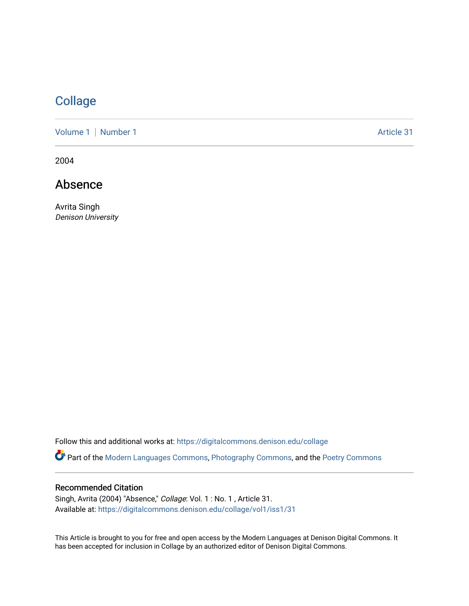# [Collage](https://digitalcommons.denison.edu/collage)

[Volume 1](https://digitalcommons.denison.edu/collage/vol1) | [Number 1](https://digitalcommons.denison.edu/collage/vol1/iss1) Article 31

2004

## Absence

Avrita Singh Denison University

Follow this and additional works at: [https://digitalcommons.denison.edu/collage](https://digitalcommons.denison.edu/collage?utm_source=digitalcommons.denison.edu%2Fcollage%2Fvol1%2Fiss1%2F31&utm_medium=PDF&utm_campaign=PDFCoverPages) 

Part of the [Modern Languages Commons,](http://network.bepress.com/hgg/discipline/1130?utm_source=digitalcommons.denison.edu%2Fcollage%2Fvol1%2Fiss1%2F31&utm_medium=PDF&utm_campaign=PDFCoverPages) [Photography Commons](http://network.bepress.com/hgg/discipline/1142?utm_source=digitalcommons.denison.edu%2Fcollage%2Fvol1%2Fiss1%2F31&utm_medium=PDF&utm_campaign=PDFCoverPages), and the [Poetry Commons](http://network.bepress.com/hgg/discipline/1153?utm_source=digitalcommons.denison.edu%2Fcollage%2Fvol1%2Fiss1%2F31&utm_medium=PDF&utm_campaign=PDFCoverPages)

### Recommended Citation

Singh, Avrita (2004) "Absence," Collage: Vol. 1 : No. 1 , Article 31. Available at: [https://digitalcommons.denison.edu/collage/vol1/iss1/31](https://digitalcommons.denison.edu/collage/vol1/iss1/31?utm_source=digitalcommons.denison.edu%2Fcollage%2Fvol1%2Fiss1%2F31&utm_medium=PDF&utm_campaign=PDFCoverPages)

This Article is brought to you for free and open access by the Modern Languages at Denison Digital Commons. It has been accepted for inclusion in Collage by an authorized editor of Denison Digital Commons.